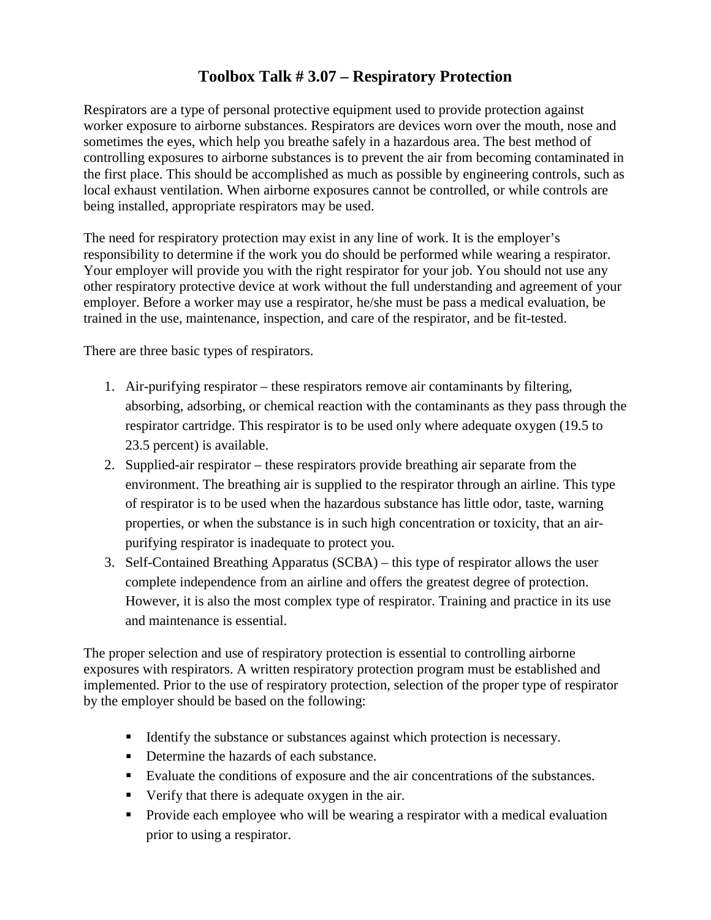## **Toolbox Talk # 3.07 – Respiratory Protection**

Respirators are a type of personal protective equipment used to provide protection against worker exposure to airborne substances. Respirators are devices worn over the mouth, nose and sometimes the eyes, which help you breathe safely in a hazardous area. The best method of controlling exposures to airborne substances is to prevent the air from becoming contaminated in the first place. This should be accomplished as much as possible by engineering controls, such as local exhaust ventilation. When airborne exposures cannot be controlled, or while controls are being installed, appropriate respirators may be used.

The need for respiratory protection may exist in any line of work. It is the employer's responsibility to determine if the work you do should be performed while wearing a respirator. Your employer will provide you with the right respirator for your job. You should not use any other respiratory protective device at work without the full understanding and agreement of your employer. Before a worker may use a respirator, he/she must be pass a medical evaluation, be trained in the use, maintenance, inspection, and care of the respirator, and be fit-tested.

There are three basic types of respirators.

- 1. Air-purifying respirator these respirators remove air contaminants by filtering, absorbing, adsorbing, or chemical reaction with the contaminants as they pass through the respirator cartridge. This respirator is to be used only where adequate oxygen (19.5 to 23.5 percent) is available.
- 2. Supplied-air respirator these respirators provide breathing air separate from the environment. The breathing air is supplied to the respirator through an airline. This type of respirator is to be used when the hazardous substance has little odor, taste, warning properties, or when the substance is in such high concentration or toxicity, that an airpurifying respirator is inadequate to protect you.
- 3. Self-Contained Breathing Apparatus (SCBA) this type of respirator allows the user complete independence from an airline and offers the greatest degree of protection. However, it is also the most complex type of respirator. Training and practice in its use and maintenance is essential.

The proper selection and use of respiratory protection is essential to controlling airborne exposures with respirators. A written respiratory protection program must be established and implemented. Prior to the use of respiratory protection, selection of the proper type of respirator by the employer should be based on the following:

- Identify the substance or substances against which protection is necessary.
- Determine the hazards of each substance.
- Evaluate the conditions of exposure and the air concentrations of the substances.
- Verify that there is adequate oxygen in the air.
- **Provide each employee who will be wearing a respirator with a medical evaluation** prior to using a respirator.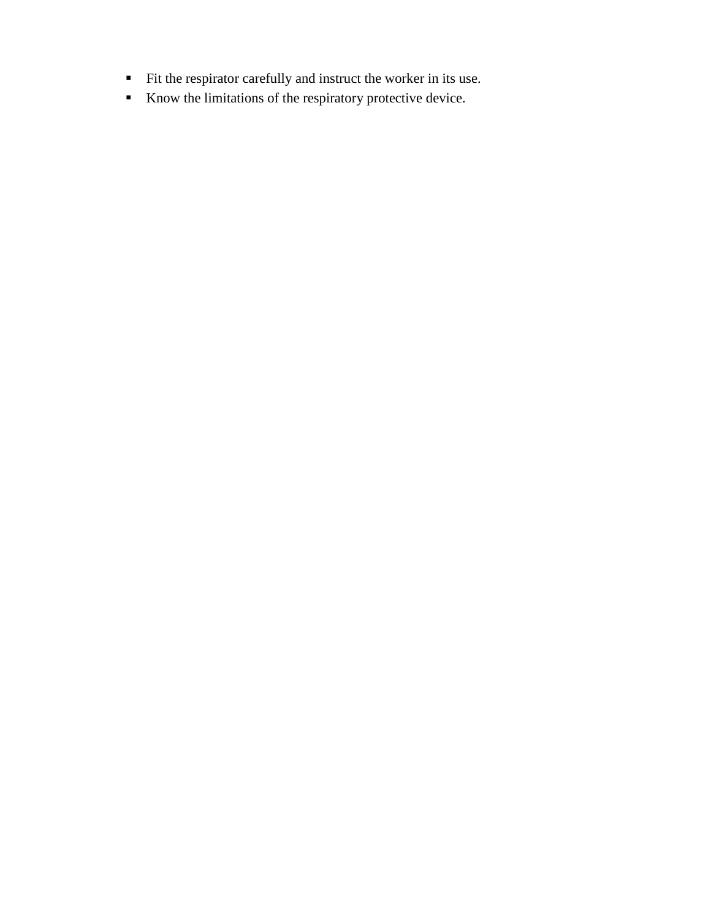- Fit the respirator carefully and instruct the worker in its use.
- Know the limitations of the respiratory protective device.